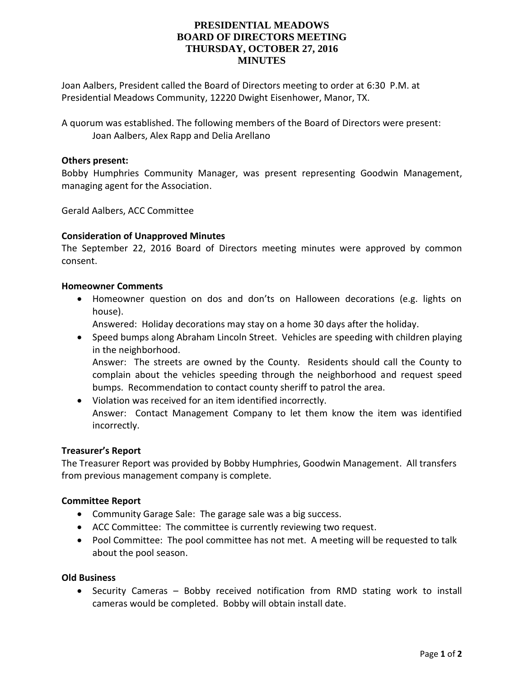# **PRESIDENTIAL MEADOWS BOARD OF DIRECTORS MEETING THURSDAY, OCTOBER 27, 2016 MINUTES**

Joan Aalbers, President called the Board of Directors meeting to order at 6:30 P.M. at Presidential Meadows Community, 12220 Dwight Eisenhower, Manor, TX.

A quorum was established. The following members of the Board of Directors were present: Joan Aalbers, Alex Rapp and Delia Arellano

### **Others present:**

Bobby Humphries Community Manager, was present representing Goodwin Management, managing agent for the Association.

Gerald Aalbers, ACC Committee

### **Consideration of Unapproved Minutes**

The September 22, 2016 Board of Directors meeting minutes were approved by common consent.

#### **Homeowner Comments**

 Homeowner question on dos and don'ts on Halloween decorations (e.g. lights on house).

Answered: Holiday decorations may stay on a home 30 days after the holiday.

- Speed bumps along Abraham Lincoln Street. Vehicles are speeding with children playing in the neighborhood. Answer: The streets are owned by the County. Residents should call the County to complain about the vehicles speeding through the neighborhood and request speed bumps. Recommendation to contact county sheriff to patrol the area.
- Violation was received for an item identified incorrectly. Answer: Contact Management Company to let them know the item was identified incorrectly.

#### **Treasurer's Report**

The Treasurer Report was provided by Bobby Humphries, Goodwin Management. All transfers from previous management company is complete.

#### **Committee Report**

- Community Garage Sale: The garage sale was a big success.
- ACC Committee: The committee is currently reviewing two request.
- Pool Committee: The pool committee has not met. A meeting will be requested to talk about the pool season.

## **Old Business**

• Security Cameras – Bobby received notification from RMD stating work to install cameras would be completed. Bobby will obtain install date.